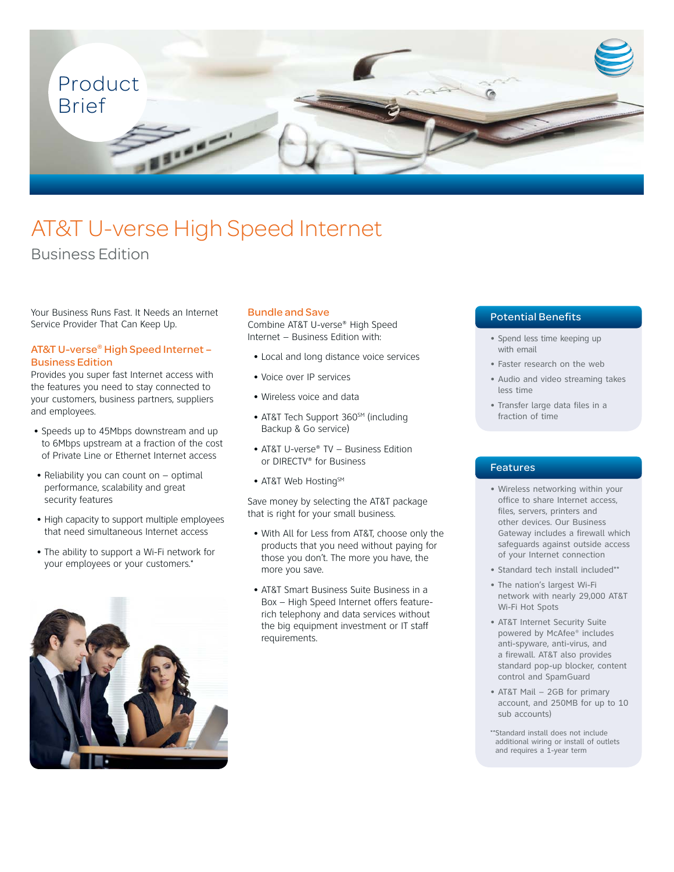

# AT&T U-verse High Speed Internet

# Business Edition

Your Business Runs Fast. It Needs an Internet Service Provider That Can Keep Up.

#### AT&T U-verse® High Speed Internet – Business Edition

Provides you super fast Internet access with the features you need to stay connected to your customers, business partners, suppliers and employees.

- Speeds up to 45Mbps downstream and up to 6Mbps upstream at a fraction of the cost of Private Line or Ethernet Internet access
- Reliability you can count on optimal performance, scalability and great security features
- High capacity to support multiple employees that need simultaneous Internet access
- The ability to support a Wi-Fi network for your employees or your customers.\*



#### Bundle and Save

Combine AT&T U-verse® High Speed Internet – Business Edition with:

- Local and long distance voice services
- Voice over IP services
- Wireless voice and data
- AT&T Tech Support 360SM (including Backup & Go service)
- AT&T U-verse® TV Business Edition or DIRECTV® for Business
- AT&T Web Hosting<sup>SM</sup>

Save money by selecting the AT&T package that is right for your small business.

- With All for Less from AT&T, choose only the products that you need without paying for those you don't. The more you have, the more you save.
- AT&T Smart Business Suite Business in a Box – High Speed Internet offers featurerich telephony and data services without the big equipment investment or IT staff requirements.

## Potential Benefits

- Spend less time keeping up with email
- Faster research on the web
- Audio and video streaming takes less time
- Transfer large data files in a fraction of time

#### Features

- Wireless networking within your office to share Internet access, files, servers, printers and other devices. Our Business Gateway includes a firewall which safeguards against outside access of your Internet connection
- Standard tech install included\*\*
- The nation's largest Wi-Fi network with nearly 29,000 AT&T Wi-Fi Hot Spots
- AT&T Internet Security Suite powered by McAfee® includes anti-spyware, anti-virus, and a firewall. AT&T also provides standard pop-up blocker, content control and SpamGuard
- AT&T Mail 2GB for primary account, and 250MB for up to 10 sub accounts)
- \*\*Standard install does not include additional wiring or install of outlets and requires a 1-year term